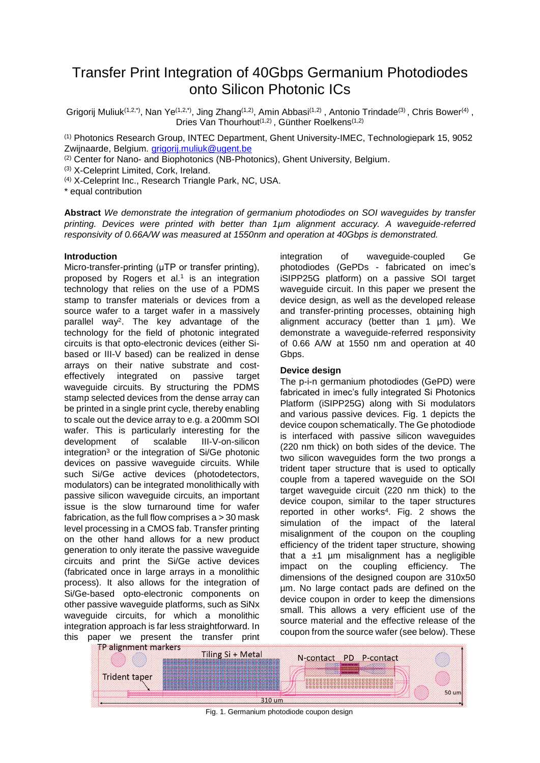# Transfer Print Integration of 40Gbps Germanium Photodiodes onto Silicon Photonic ICs

Grigorij Muliuk<sup>(1,2,\*)</sup>, Nan Ye<sup>(1,2,\*</sup>), Jing Zhang<sup>(1,2)</sup>, Amin Abbasi<sup>(1,2)</sup>, Antonio Trindade<sup>(3)</sup>, Chris Bower<sup>(4)</sup>, Dries Van Thourhout<sup>(1,2)</sup>, Günther Roelkens<sup>(1,2)</sup>

(1) Photonics Research Group, INTEC Department, Ghent University-IMEC, Technologiepark 15, 9052 Zwijnaarde, Belgium*.* [grigorij.muliuk@ugent.be](mailto:grigorij.muliuk@ugent.be)

(2) Center for Nano- and Biophotonics (NB-Photonics), Ghent University, Belgium.

(3) X-Celeprint Limited, Cork, Ireland.

(4) X-Celeprint Inc., Research Triangle Park, NC, USA.

\* equal contribution

**Abstract** *We demonstrate the integration of germanium photodiodes on SOI waveguides by transfer printing. Devices were printed with better than 1µm alignment accuracy. A waveguide-referred responsivity of 0.66A/W was measured at 1550nm and operation at 40Gbps is demonstrated.*

### **Introduction**

Micro-transfer-printing (μTP or transfer printing), proposed by Rogers et al.<sup>1</sup> is an integration technology that relies on the use of a PDMS stamp to transfer materials or devices from a source wafer to a target wafer in a massively parallel way<sup>2</sup> . The key advantage of the technology for the field of photonic integrated circuits is that opto-electronic devices (either Sibased or III-V based) can be realized in dense arrays on their native substrate and costeffectively integrated on passive target waveguide circuits. By structuring the PDMS stamp selected devices from the dense array can be printed in a single print cycle, thereby enabling to scale out the device array to e.g. a 200mm SOI wafer. This is particularly interesting for the<br>development of scalable III-V-on-silicon development of scalable integration<sup>3</sup> or the integration of Si/Ge photonic devices on passive waveguide circuits. While such Si/Ge active devices (photodetectors, modulators) can be integrated monolithically with passive silicon waveguide circuits, an important issue is the slow turnaround time for wafer fabrication, as the full flow comprises  $a > 30$  mask level processing in a CMOS fab. Transfer printing on the other hand allows for a new product generation to only iterate the passive waveguide circuits and print the Si/Ge active devices (fabricated once in large arrays in a monolithic process). It also allows for the integration of Si/Ge-based opto-electronic components on other passive waveguide platforms, such as SiNx waveguide circuits, for which a monolithic integration approach is far less straightforward. In this paper we present the transfer print<br>Expansion to the transfer print

integration of waveguide-coupled Ge photodiodes (GePDs - fabricated on imec's iSIPP25G platform) on a passive SOI target waveguide circuit. In this paper we present the device design, as well as the developed release and transfer-printing processes, obtaining high alignment accuracy (better than 1 µm). We demonstrate a waveguide-referred responsivity of 0.66 A/W at 1550 nm and operation at 40 Gbps.

## **Device design**

The p-i-n germanium photodiodes (GePD) were fabricated in imec's fully integrated Si Photonics Platform (iSIPP25G) along with Si modulators and various passive devices. Fig. 1 depicts the device coupon schematically. The Ge photodiode is interfaced with passive silicon waveguides (220 nm thick) on both sides of the device. The two silicon waveguides form the two prongs a trident taper structure that is used to optically couple from a tapered waveguide on the SOI target waveguide circuit (220 nm thick) to the device coupon, similar to the taper structures reported in other works 4 . Fig. 2 shows the simulation of the impact of the lateral misalignment of the coupon on the coupling efficiency of the trident taper structure, showing that a  $±1$  µm misalignment has a negligible impact on the coupling efficiency. The dimensions of the designed coupon are 310x50 µm. No large contact pads are defined on the device coupon in order to keep the dimensions small. This allows a very efficient use of the source material and the effective release of the coupon from the source wafer (see below). These



Fig. 1. Germanium photodiode coupon design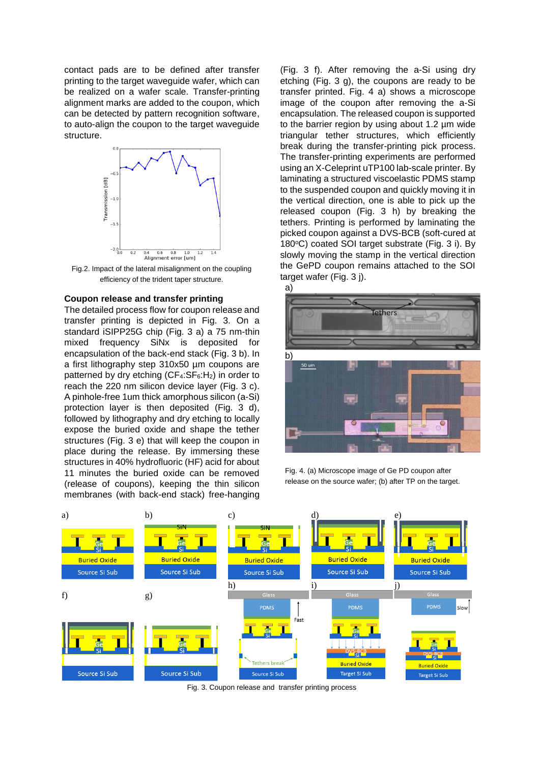contact pads are to be defined after transfer printing to the target waveguide wafer, which can be realized on a wafer scale. Transfer-printing alignment marks are added to the coupon, which can be detected by pattern recognition software, to auto-align the coupon to the target waveguide structure.



Fig.2. Impact of the lateral misalignment on the coupling efficiency of the trident taper structure.

#### **Coupon release and transfer printing**

The detailed process flow for coupon release and transfer printing is depicted in Fig. 3. On a standard iSIPP25G chip (Fig. 3 a) a 75 nm-thin mixed frequency SiNx is deposited for encapsulation of the back-end stack (Fig. 3 b). In a first lithography step 310x50 µm coupons are patterned by dry etching  $(CF_4:SF_6:H_2)$  in order to reach the 220 nm silicon device layer (Fig. 3 c). A pinhole-free 1um thick amorphous silicon (a-Si) protection layer is then deposited (Fig. 3 d), followed by lithography and dry etching to locally expose the buried oxide and shape the tether structures (Fig. 3 e) that will keep the coupon in place during the release. By immersing these structures in 40% hydrofluoric (HF) acid for about 11 minutes the buried oxide can be removed (release of coupons), keeping the thin silicon membranes (with back-end stack) free-hanging

(Fig. 3 f). After removing the a-Si using dry etching (Fig. 3 g), the coupons are ready to be transfer printed. Fig. 4 a) shows a microscope image of the coupon after removing the a-Si encapsulation. The released coupon is supported to the barrier region by using about 1.2 µm wide triangular tether structures, which efficiently break during the transfer-printing pick process. The transfer-printing experiments are performed using an X-Celeprint uTP100 lab-scale printer. By laminating a structured viscoelastic PDMS stamp to the suspended coupon and quickly moving it in the vertical direction, one is able to pick up the released coupon (Fig. 3 h) by breaking the tethers. Printing is performed by laminating the picked coupon against a DVS-BCB (soft-cured at 180 $\degree$ C) coated SOI target substrate (Fig. 3 i). By slowly moving the stamp in the vertical direction the GePD coupon remains attached to the SOI target wafer (Fig. 3 j).



Fig. 4. (a) Microscope image of Ge PD coupon after release on the source wafer; (b) after TP on the target.



Fig. 3. Coupon release and transfer printing process